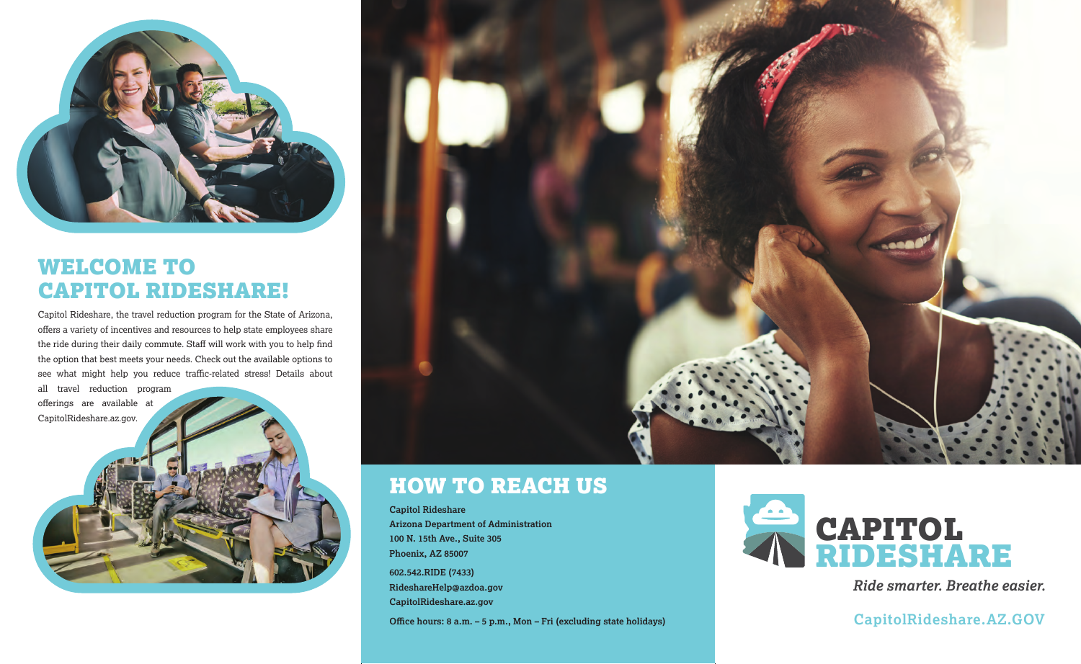

### WELCOME TO CAPITOL RIDESHARE!

Capitol Rideshare, the travel reduction program for the State of Arizona, offers a variety of incentives and resources to help state employees share the ride during their daily commute. Staff will work with you to help find the option that best meets your needs. Check out the available options to see what might help you reduce traffic-related stress! Details about all travel reduction program

offerings are available at CapitolRideshare.az.gov.



### HOW TO REACH US

**Capitol Rideshare Arizona Department of Administration 100 N. 15th Ave., Suite 305 Phoenix, AZ 85007 602.542.RIDE (7433) RideshareHelp@azdoa.gov**

**CapitolRideshare.az.gov**



*Ride smarter. Breathe easier.*

Office hours: 8 a.m. – 5 p.m., Mon – Fri (excluding state holidays) **CapitolRideshare.AZ.GOV**